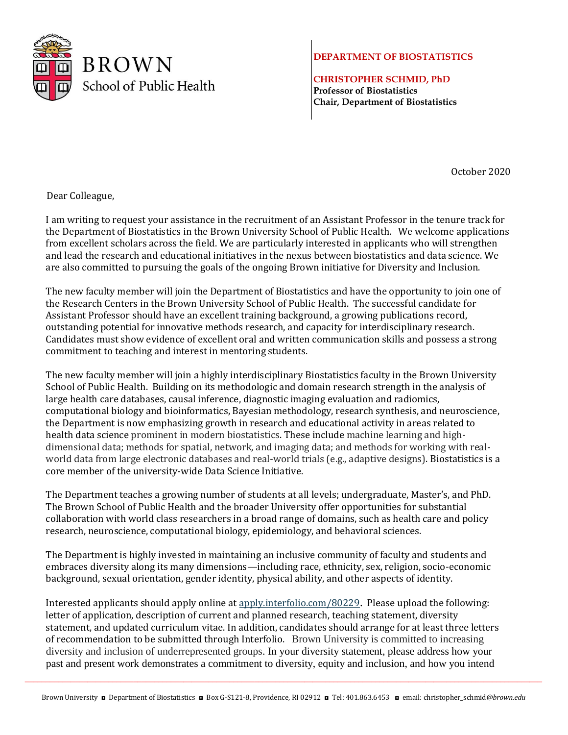

## **DEPARTMENT OF BIOSTATISTICS**

**CHRISTOPHER SCHMID, PhD Professor of Biostatistics Chair, Department of Biostatistics**

October 2020

Dear Colleague,

I am writing to request your assistance in the recruitment of an Assistant Professor in the tenure track for the Department of Biostatistics in the Brown University School of Public Health. We welcome applications from excellent scholars across the field. We are particularly interested in applicants who will strengthen and lead the research and educational initiatives in the nexus between biostatistics and data science. We are also committed to pursuing the goals of the ongoing Brown initiative for Diversity and Inclusion.

The new faculty member will join the Department of Biostatistics and have the opportunity to join one of the Research Centers in the Brown University School of Public Health. The successful candidate for Assistant Professor should have an excellent training background, a growing publications record, outstanding potential for innovative methods research, and capacity for interdisciplinary research. Candidates must show evidence of excellent oral and written communication skills and possess a strong commitment to teaching and interest in mentoring students.

The new faculty member will join a highly interdisciplinary Biostatistics faculty in the Brown University School of Public Health. Building on its methodologic and domain research strength in the analysis of large health care databases, causal inference, diagnostic imaging evaluation and radiomics, computational biology and bioinformatics, Bayesian methodology, research synthesis, and neuroscience, the Department is now emphasizing growth in research and educational activity in areas related to health data science prominent in modern biostatistics. These include machine learning and highdimensional data; methods for spatial, network, and imaging data; and methods for working with realworld data from large electronic databases and real-world trials (e.g., adaptive designs). Biostatistics is a core member of the university-wide Data Science Initiative.

The Department teaches a growing number of students at all levels; undergraduate, Master's, and PhD. The Brown School of Public Health and the broader University offer opportunities for substantial collaboration with world class researchers in a broad range of domains, such as health care and policy research, neuroscience, computational biology, epidemiology, and behavioral sciences.

The Department is highly invested in maintaining an inclusive community of faculty and students and embraces diversity along its many dimensions—including race, ethnicity, sex, religion, socio-economic background, sexual orientation, gender identity, physical ability, and other aspects of identity.

Interested applicants should apply online a[t apply.interfolio.com/80229](http://apply.interfolio.com/80229). Please upload the following: letter of application, description of current and planned research, teaching statement, diversity statement, and updated curriculum vitae. In addition, candidates should arrange for at least three letters of recommendation to be submitted through Interfolio. Brown University is committed to increasing diversity and inclusion of underrepresented groups. In your diversity statement, please address how your past and present work demonstrates a commitment to diversity, equity and inclusion, and how you intend

 $\bot$  , and the set of the set of the set of the set of the set of the set of the set of the set of the set of the set of the set of the set of the set of the set of the set of the set of the set of the set of the set of t